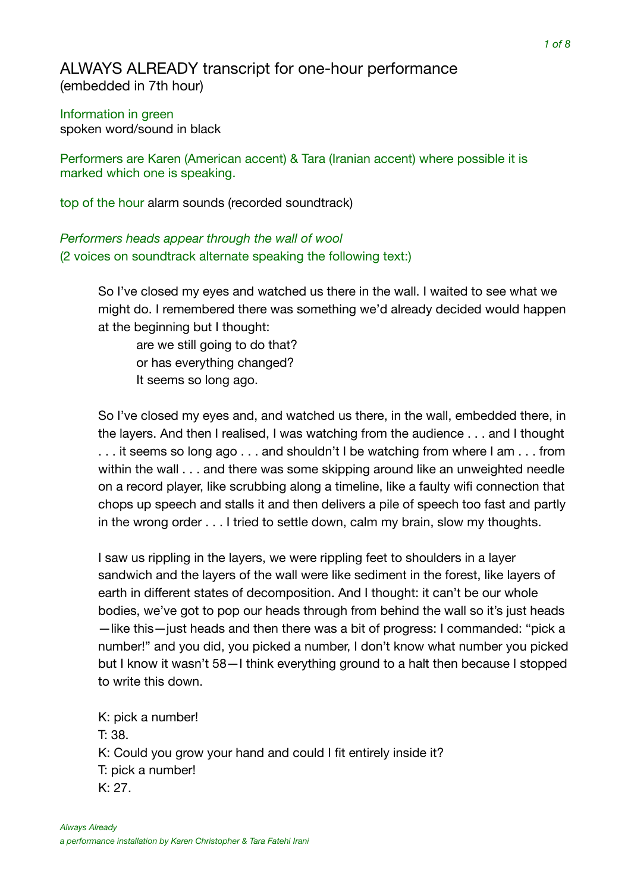## ALWAYS ALREADY transcript for one-hour performance (embedded in 7th hour)

Information in green spoken word/sound in black

Performers are Karen (American accent) & Tara (Iranian accent) where possible it is marked which one is speaking.

top of the hour alarm sounds (recorded soundtrack)

*Performers heads appear through the wall of wool*  (2 voices on soundtrack alternate speaking the following text:)

> So I've closed my eyes and watched us there in the wall. I waited to see what we might do. I remembered there was something we'd already decided would happen at the beginning but I thought:

are we still going to do that? or has everything changed? It seems so long ago.

So I've closed my eyes and, and watched us there, in the wall, embedded there, in the layers. And then I realised, I was watching from the audience . . . and I thought ... it seems so long ago ... and shouldn't I be watching from where I am ... from within the wall . . . and there was some skipping around like an unweighted needle on a record player, like scrubbing along a timeline, like a faulty wifi connection that chops up speech and stalls it and then delivers a pile of speech too fast and partly in the wrong order . . . I tried to settle down, calm my brain, slow my thoughts.

I saw us rippling in the layers, we were rippling feet to shoulders in a layer sandwich and the layers of the wall were like sediment in the forest, like layers of earth in different states of decomposition. And I thought: it can't be our whole bodies, we've got to pop our heads through from behind the wall so it's just heads —like this—just heads and then there was a bit of progress: I commanded: "pick a number!" and you did, you picked a number, I don't know what number you picked but I know it wasn't 58—I think everything ground to a halt then because I stopped to write this down.

K: pick a number! T: 38. K: Could you grow your hand and could I fit entirely inside it? T: pick a number! K: 27.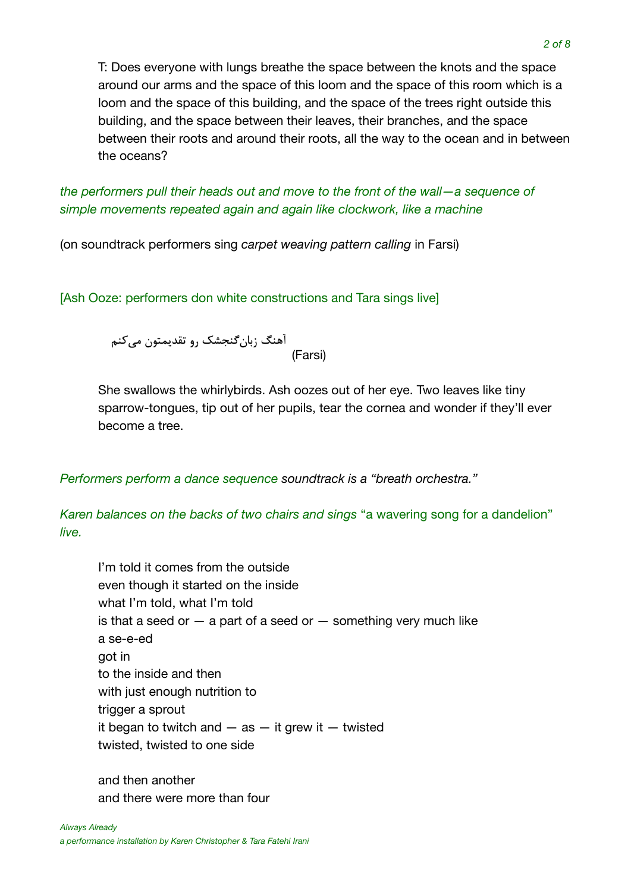T: Does everyone with lungs breathe the space between the knots and the space around our arms and the space of this loom and the space of this room which is a loom and the space of this building, and the space of the trees right outside this building, and the space between their leaves, their branches, and the space between their roots and around their roots, all the way to the ocean and in between the oceans?

*the performers pull their heads out and move to the front of the wall—a sequence of simple movements repeated again and again like clockwork, like a machine* 

(on soundtrack performers sing *carpet weaving pattern calling* in Farsi)

[Ash Ooze: performers don white constructions and Tara sings live]

آهنگ زبانگنجشک رو تقدیمتون میکنم<br>(Farsi)

She swallows the whirlybirds. Ash oozes out of her eye. Two leaves like tiny sparrow-tongues, tip out of her pupils, tear the cornea and wonder if they'll ever become a tree.

*Performers perform a dance sequence soundtrack is a "breath orchestra."*

*Karen balances on the backs of two chairs and sings* "a wavering song for a dandelion" *live.* 

I'm told it comes from the outside even though it started on the inside what I'm told, what I'm told is that a seed or  $-$  a part of a seed or  $-$  something very much like a se-e-ed got in to the inside and then with just enough nutrition to trigger a sprout it began to twitch and  $-$  as  $-$  it grew it  $-$  twisted twisted, twisted to one side

and then another and there were more than four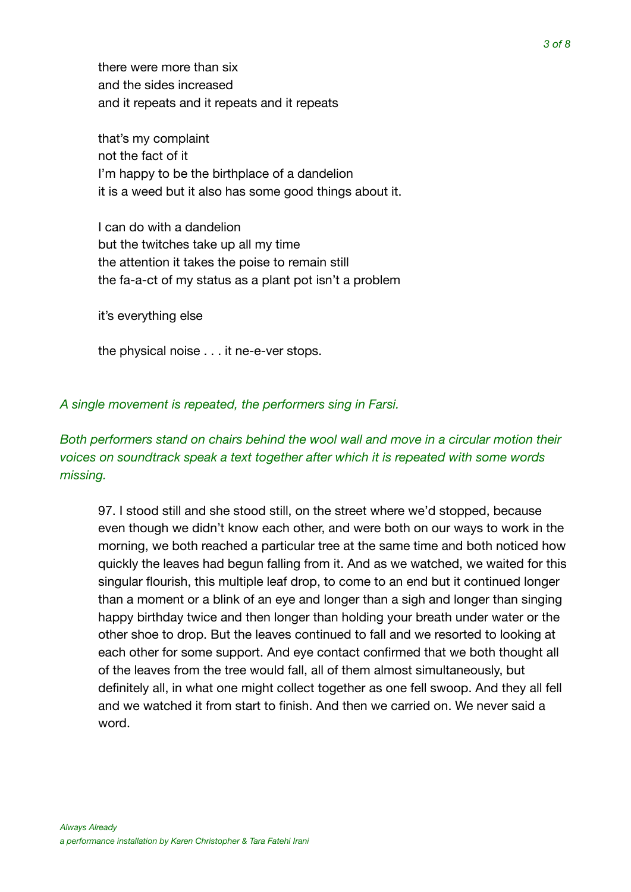there were more than six and the sides increased and it repeats and it repeats and it repeats

that's my complaint not the fact of it I'm happy to be the birthplace of a dandelion it is a weed but it also has some good things about it.

I can do with a dandelion but the twitches take up all my time the attention it takes the poise to remain still the fa-a-ct of my status as a plant pot isn't a problem

it's everything else

the physical noise . . . it ne-e-ver stops.

*A single movement is repeated, the performers sing in Farsi.* 

### *Both performers stand on chairs behind the wool wall and move in a circular motion their voices on soundtrack speak a text together after which it is repeated with some words missing.*

97. I stood still and she stood still, on the street where we'd stopped, because even though we didn't know each other, and were both on our ways to work in the morning, we both reached a particular tree at the same time and both noticed how quickly the leaves had begun falling from it. And as we watched, we waited for this singular flourish, this multiple leaf drop, to come to an end but it continued longer than a moment or a blink of an eye and longer than a sigh and longer than singing happy birthday twice and then longer than holding your breath under water or the other shoe to drop. But the leaves continued to fall and we resorted to looking at each other for some support. And eye contact confirmed that we both thought all of the leaves from the tree would fall, all of them almost simultaneously, but definitely all, in what one might collect together as one fell swoop. And they all fell and we watched it from start to finish. And then we carried on. We never said a word.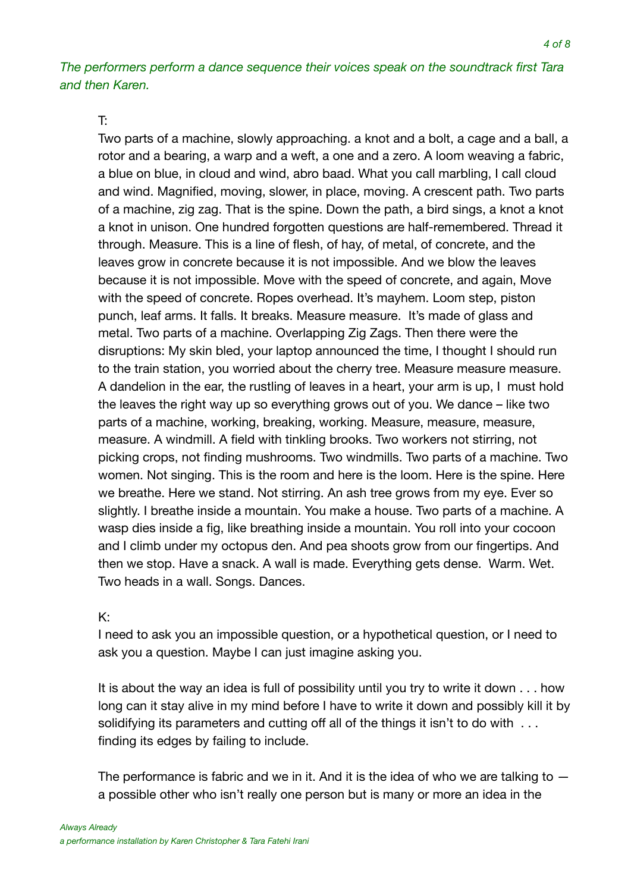*The performers perform a dance sequence their voices speak on the soundtrack first Tara and then Karen.* 

#### T:

Two parts of a machine, slowly approaching. a knot and a bolt, a cage and a ball, a rotor and a bearing, a warp and a weft, a one and a zero. A loom weaving a fabric, a blue on blue, in cloud and wind, abro baad. What you call marbling, I call cloud and wind. Magnified, moving, slower, in place, moving. A crescent path. Two parts of a machine, zig zag. That is the spine. Down the path, a bird sings, a knot a knot a knot in unison. One hundred forgotten questions are half-remembered. Thread it through. Measure. This is a line of flesh, of hay, of metal, of concrete, and the leaves grow in concrete because it is not impossible. And we blow the leaves because it is not impossible. Move with the speed of concrete, and again, Move with the speed of concrete. Ropes overhead. It's mayhem. Loom step, piston punch, leaf arms. It falls. It breaks. Measure measure. It's made of glass and metal. Two parts of a machine. Overlapping Zig Zags. Then there were the disruptions: My skin bled, your laptop announced the time, I thought I should run to the train station, you worried about the cherry tree. Measure measure measure. A dandelion in the ear, the rustling of leaves in a heart, your arm is up, I must hold the leaves the right way up so everything grows out of you. We dance – like two parts of a machine, working, breaking, working. Measure, measure, measure, measure. A windmill. A field with tinkling brooks. Two workers not stirring, not picking crops, not finding mushrooms. Two windmills. Two parts of a machine. Two women. Not singing. This is the room and here is the loom. Here is the spine. Here we breathe. Here we stand. Not stirring. An ash tree grows from my eye. Ever so slightly. I breathe inside a mountain. You make a house. Two parts of a machine. A wasp dies inside a fig, like breathing inside a mountain. You roll into your cocoon and I climb under my octopus den. And pea shoots grow from our fingertips. And then we stop. Have a snack. A wall is made. Everything gets dense. Warm. Wet. Two heads in a wall. Songs. Dances.

#### K:

I need to ask you an impossible question, or a hypothetical question, or I need to ask you a question. Maybe I can just imagine asking you.

It is about the way an idea is full of possibility until you try to write it down . . . how long can it stay alive in my mind before I have to write it down and possibly kill it by solidifying its parameters and cutting off all of the things it isn't to do with ... finding its edges by failing to include.

The performance is fabric and we in it. And it is the idea of who we are talking to  $$ a possible other who isn't really one person but is many or more an idea in the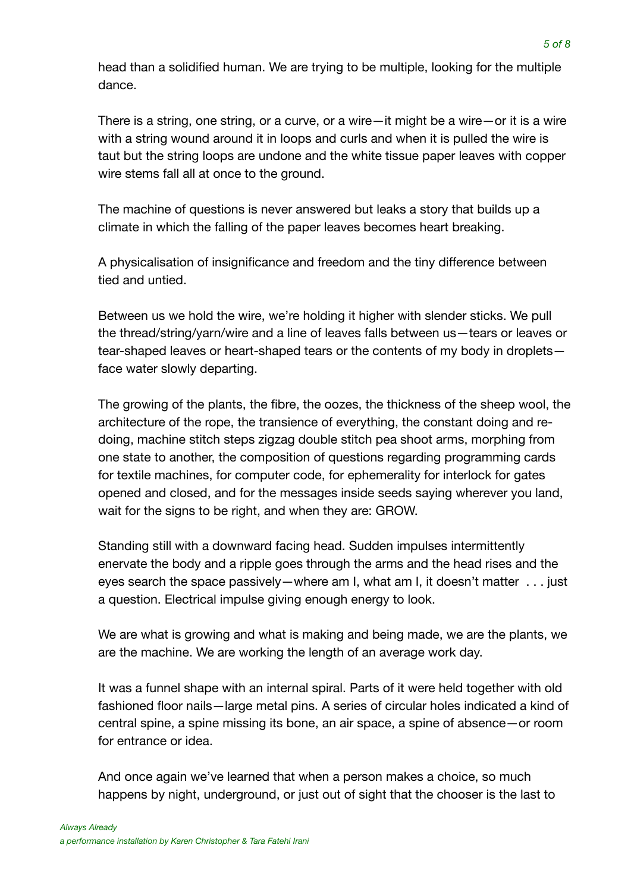head than a solidified human. We are trying to be multiple, looking for the multiple dance.

There is a string, one string, or a curve, or a wire—it might be a wire—or it is a wire with a string wound around it in loops and curls and when it is pulled the wire is taut but the string loops are undone and the white tissue paper leaves with copper wire stems fall all at once to the ground.

The machine of questions is never answered but leaks a story that builds up a climate in which the falling of the paper leaves becomes heart breaking.

A physicalisation of insignificance and freedom and the tiny difference between tied and untied.

Between us we hold the wire, we're holding it higher with slender sticks. We pull the thread/string/yarn/wire and a line of leaves falls between us—tears or leaves or tear-shaped leaves or heart-shaped tears or the contents of my body in droplets face water slowly departing.

The growing of the plants, the fibre, the oozes, the thickness of the sheep wool, the architecture of the rope, the transience of everything, the constant doing and redoing, machine stitch steps zigzag double stitch pea shoot arms, morphing from one state to another, the composition of questions regarding programming cards for textile machines, for computer code, for ephemerality for interlock for gates opened and closed, and for the messages inside seeds saying wherever you land, wait for the signs to be right, and when they are: GROW.

Standing still with a downward facing head. Sudden impulses intermittently enervate the body and a ripple goes through the arms and the head rises and the eyes search the space passively—where am I, what am I, it doesn't matter . . . just a question. Electrical impulse giving enough energy to look.

We are what is growing and what is making and being made, we are the plants, we are the machine. We are working the length of an average work day.

It was a funnel shape with an internal spiral. Parts of it were held together with old fashioned floor nails—large metal pins. A series of circular holes indicated a kind of central spine, a spine missing its bone, an air space, a spine of absence—or room for entrance or idea.

And once again we've learned that when a person makes a choice, so much happens by night, underground, or just out of sight that the chooser is the last to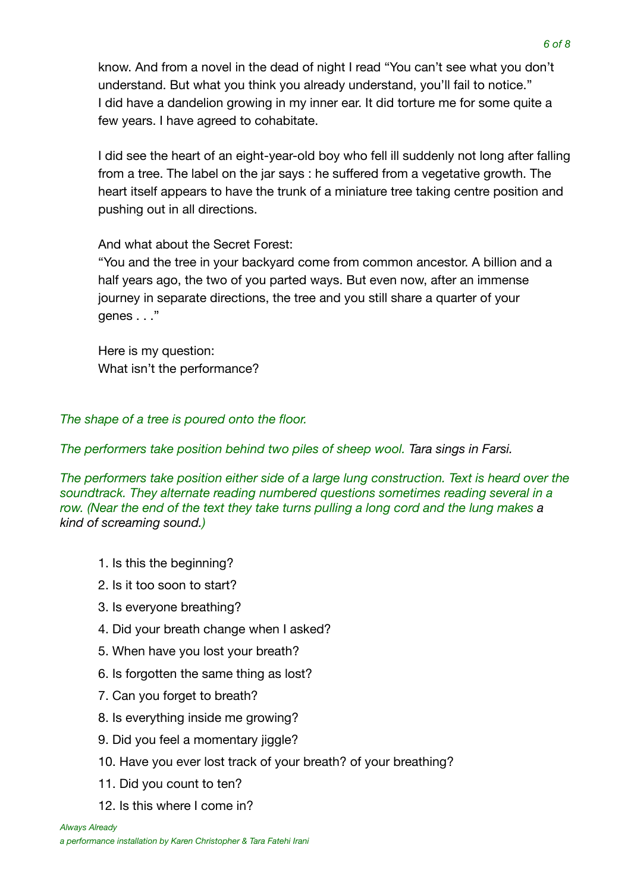know. And from a novel in the dead of night I read "You can't see what you don't understand. But what you think you already understand, you'll fail to notice." I did have a dandelion growing in my inner ear. It did torture me for some quite a few years. I have agreed to cohabitate.

I did see the heart of an eight-year-old boy who fell ill suddenly not long after falling from a tree. The label on the jar says : he suffered from a vegetative growth. The heart itself appears to have the trunk of a miniature tree taking centre position and pushing out in all directions.

And what about the Secret Forest:

"You and the tree in your backyard come from common ancestor. A billion and a half years ago, the two of you parted ways. But even now, after an immense journey in separate directions, the tree and you still share a quarter of your genes . . ."

Here is my question: What isn't the performance?

*The shape of a tree is poured onto the floor.* 

*The performers take position behind two piles of sheep wool. Tara sings in Farsi.*

*The performers take position either side of a large lung construction. Text is heard over the soundtrack. They alternate reading numbered questions sometimes reading several in a row. (Near the end of the text they take turns pulling a long cord and the lung makes a kind of screaming sound.)* 

- 1. Is this the beginning?
- 2. Is it too soon to start?
- 3. Is everyone breathing?
- 4. Did your breath change when I asked?
- 5. When have you lost your breath?
- 6. Is forgotten the same thing as lost?
- 7. Can you forget to breath?
- 8. Is everything inside me growing?
- 9. Did you feel a momentary jiggle?
- 10. Have you ever lost track of your breath? of your breathing?
- 11. Did you count to ten?
- 12. Is this where I come in?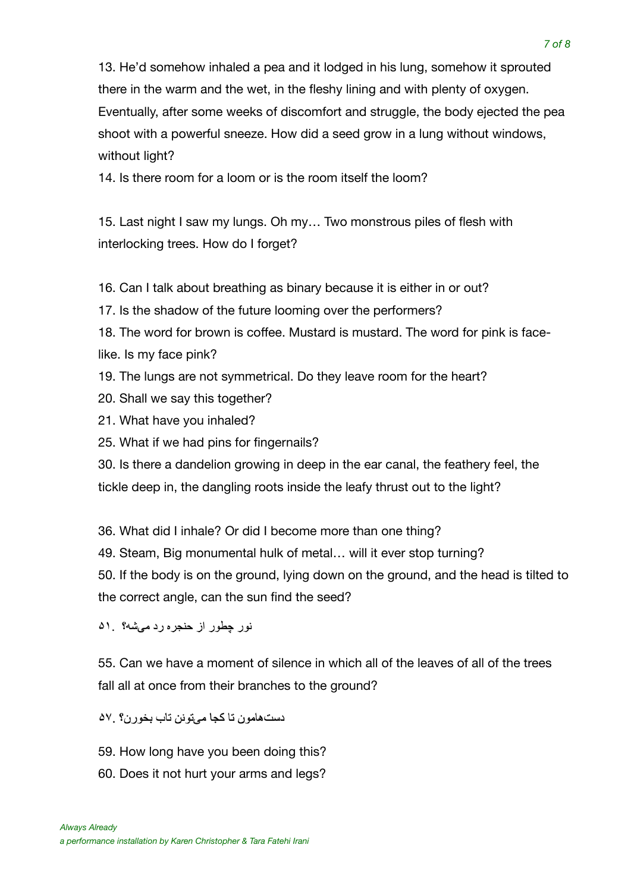13. He'd somehow inhaled a pea and it lodged in his lung, somehow it sprouted there in the warm and the wet, in the fleshy lining and with plenty of oxygen. Eventually, after some weeks of discomfort and struggle, the body ejected the pea shoot with a powerful sneeze. How did a seed grow in a lung without windows, without light?

14. Is there room for a loom or is the room itself the loom?

15. Last night I saw my lungs. Oh my… Two monstrous piles of flesh with interlocking trees. How do I forget?

16. Can I talk about breathing as binary because it is either in or out?

17. Is the shadow of the future looming over the performers?

18. The word for brown is coffee. Mustard is mustard. The word for pink is facelike. Is my face pink?

19. The lungs are not symmetrical. Do they leave room for the heart?

- 20. Shall we say this together?
- 21. What have you inhaled?

25. What if we had pins for fingernails?

30. Is there a dandelion growing in deep in the ear canal, the feathery feel, the tickle deep in, the dangling roots inside the leafy thrust out to the light?

36. What did I inhale? Or did I become more than one thing?

49. Steam, Big monumental hulk of metal… will it ever stop turning?

50. If the body is on the ground, lying down on the ground, and the head is tilted to the correct angle, can the sun find the seed?

نور چطور از حنجره رد میشه؟ ۵۱

55. Can we have a moment of silence in which all of the leaves of all of the trees fall all at once from their branches to the ground?

دست هامون تا کجا مے تو نن تاب بخور ن؟ . ۵۷

- 59. How long have you been doing this?
- 60. Does it not hurt your arms and legs?